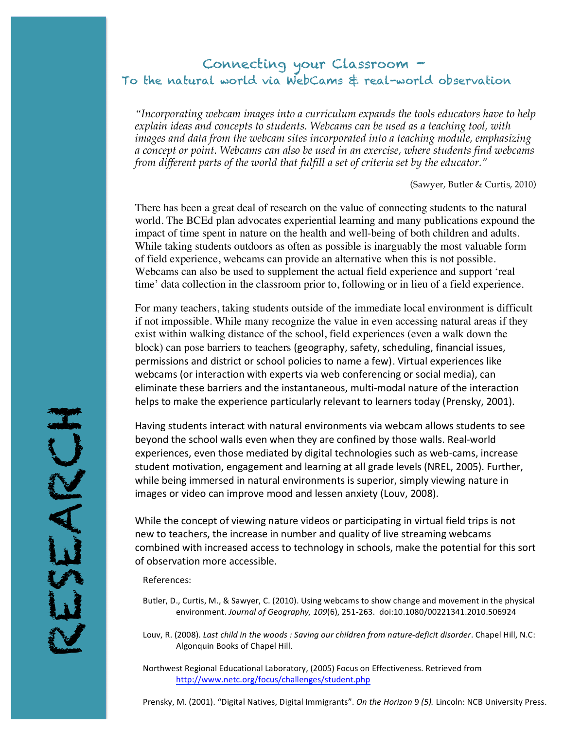## Connecting your Classroom – To the natural world via WebCams & real-world observation

*"Incorporating webcam images into a curriculum expands the tools educators have to help explain ideas and concepts to students. Webcams can be used as a teaching tool, with images and data from the webcam sites incorporated into a teaching module, emphasizing a concept or point. Webcams can also be used in an exercise, where students find webcams from different parts of the world that fulfill a set of criteria set by the educator."*

(Sawyer, Butler & Curtis, 2010)

There has been a great deal of research on the value of connecting students to the natural world. The BCEd plan advocates experiential learning and many publications expound the impact of time spent in nature on the health and well-being of both children and adults. While taking students outdoors as often as possible is inarguably the most valuable form of field experience, webcams can provide an alternative when this is not possible. Webcams can also be used to supplement the actual field experience and support 'real time' data collection in the classroom prior to, following or in lieu of a field experience.

For many teachers, taking students outside of the immediate local environment is difficult if not impossible. While many recognize the value in even accessing natural areas if they exist within walking distance of the school, field experiences (even a walk down the block) can pose barriers to teachers (geography, safety, scheduling, financial issues, permissions and district or school policies to name a few). Virtual experiences like webcams (or interaction with experts via web conferencing or social media), can eliminate these barriers and the instantaneous, multi-modal nature of the interaction helps to make the experience particularly relevant to learners today (Prensky, 2001).

Having students interact with natural environments via webcam allows students to see beyond the school walls even when they are confined by those walls. Real-world experiences, even those mediated by digital technologies such as web-cams, increase student motivation, engagement and learning at all grade levels (NREL, 2005). Further, while being immersed in natural environments is superior, simply viewing nature in images or video can improve mood and lessen anxiety (Louv, 2008).

While the concept of viewing nature videos or participating in virtual field trips is not new to teachers, the increase in number and quality of live streaming webcams combined with increased access to technology in schools, make the potential for this sort of observation more accessible.

References:

RESEARCH

EARCH

- Butler, D., Curtis, M., & Sawyer, C. (2010). Using webcams to show change and movement in the physical environment. *Journal of Geography, 109*(6), 251-263. doi:10.1080/00221341.2010.506924
- Louv, R. (2008). Last child in the woods : Saving our children from nature-deficit disorder. Chapel Hill, N.C: Algonquin Books of Chapel Hill.

Northwest Regional Educational Laboratory, (2005) Focus on Effectiveness. Retrieved from http://www.netc.org/focus/challenges/student.php

Prensky, M. (2001). "Digital Natives, Digital Immigrants". On the Horizon 9 (5). Lincoln: NCB University Press.